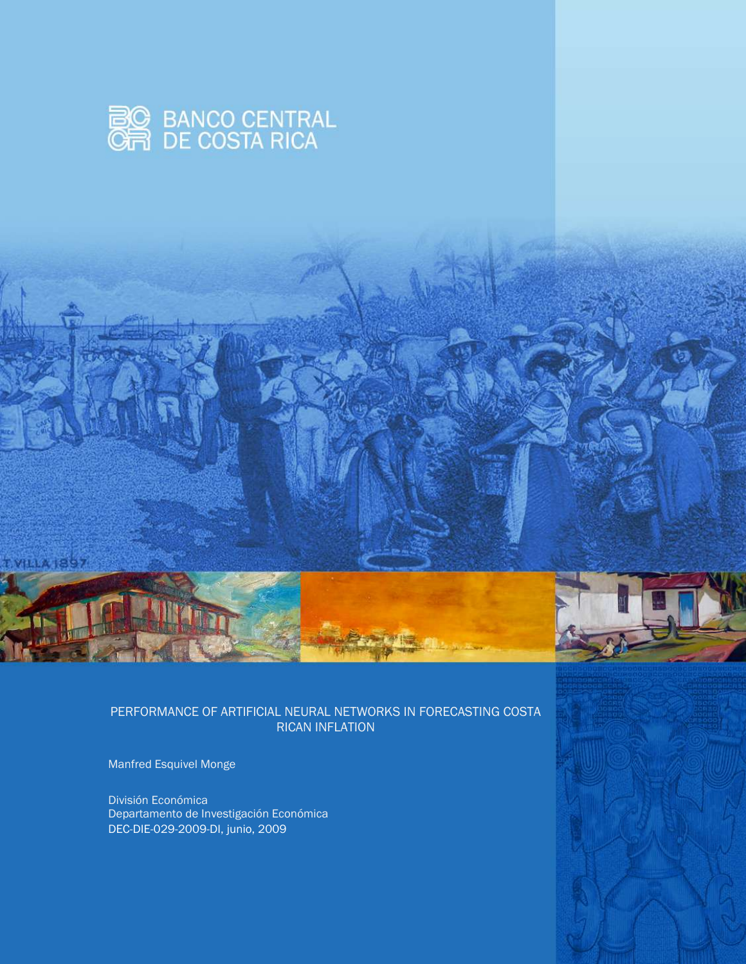

#### PERFORMANCE OF ARTIFICIAL NEURAL NETWORKS IN FORECASTING COSTA RICAN INFLATION

Manfred Esquivel Monge

**ALLAISS7** 

División Económica Departamento de Investigación Económica DEC-DIE-029-2009-DI, junio, 2009

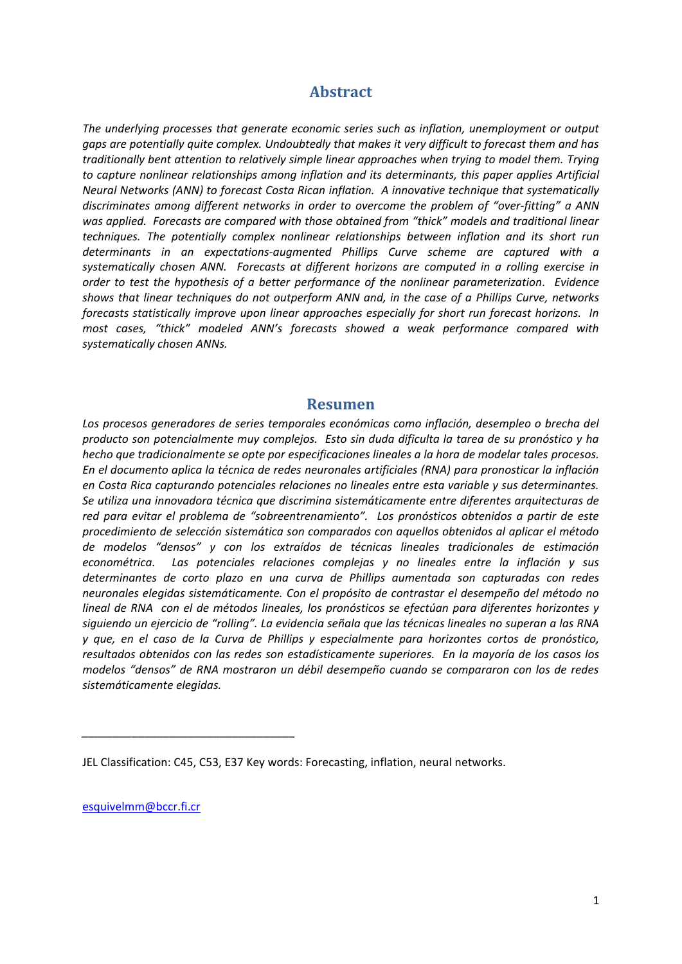## **Abstract**

*The underlying processes that generate economic series such as inflation, unemployment or output gaps are potentially quite complex. Undoubtedly that makes it very difficult to forecast them and has traditionally bent attention to relatively simple linear approaches when trying to model them. Trying to capture nonlinear relationships among inflation and its determinants, this paper applies Artificial Neural Networks (ANN) to forecast Costa Rican inflation. A innovative technique that systematically discriminates among different networks in order to overcome the problem of "over-fitting" a ANN was applied. Forecasts are compared with those obtained from "thick" models and traditional linear techniques. The potentially complex nonlinear relationships between inflation and its short run determinants in an expectations-augmented Phillips Curve scheme are captured with a systematically chosen ANN. Forecasts at different horizons are computed in a rolling exercise in order to test the hypothesis of a better performance of the nonlinear parameterization. Evidence shows that linear techniques do not outperform ANN and, in the case of a Phillips Curve, networks forecasts statistically improve upon linear approaches especially for short run forecast horizons. In most cases, "thick" modeled ANN's forecasts showed a weak performance compared with systematically chosen ANNs.*

#### **Resumen**

*Los procesos generadores de series temporales económicas como inflación, desempleo o brecha del producto son potencialmente muy complejos. Esto sin duda dificulta la tarea de su pronóstico y ha hecho que tradicionalmente se opte por especificaciones lineales a la hora de modelar tales procesos. En el documento aplica la técnica de redes neuronales artificiales (RNA) para pronosticar la inflación en Costa Rica capturando potenciales relaciones no lineales entre esta variable y sus determinantes. Se utiliza una innovadora técnica que discrimina sistemáticamente entre diferentes arquitecturas de red para evitar el problema de "sobreentrenamiento". Los pronósticos obtenidos a partir de este procedimiento de selección sistemática son comparados con aquellos obtenidos al aplicar el método de modelos "densos" y con los extraídos de técnicas lineales tradicionales de estimación econométrica. Las potenciales relaciones complejas y no lineales entre la inflación y sus determinantes de corto plazo en una curva de Phillips aumentada son capturadas con redes neuronales elegidas sistemáticamente. Con el propósito de contrastar el desempeño del método no lineal de RNA con el de métodos lineales, los pronósticos se efectúan para diferentes horizontes y siguiendo un ejercicio de "rolling". La evidencia señala que las técnicas lineales no superan a las RNA y que, en el caso de la Curva de Phillips y especialmente para horizontes cortos de pronóstico, resultados obtenidos con las redes son estadísticamente superiores. En la mayoría de los casos los modelos "densos" de RNA mostraron un débil desempeño cuando se compararon con los de redes sistemáticamente elegidas.*

[esquivelmm@bccr.fi.cr](mailto:esquivelmm@bccr.fi.cr)

*\_\_\_\_\_\_\_\_\_\_\_\_\_\_\_\_\_\_\_\_\_\_\_\_\_\_\_\_\_\_\_\_\_\_* 

JEL Classification: C45, C53, E37 Key words: Forecasting, inflation, neural networks.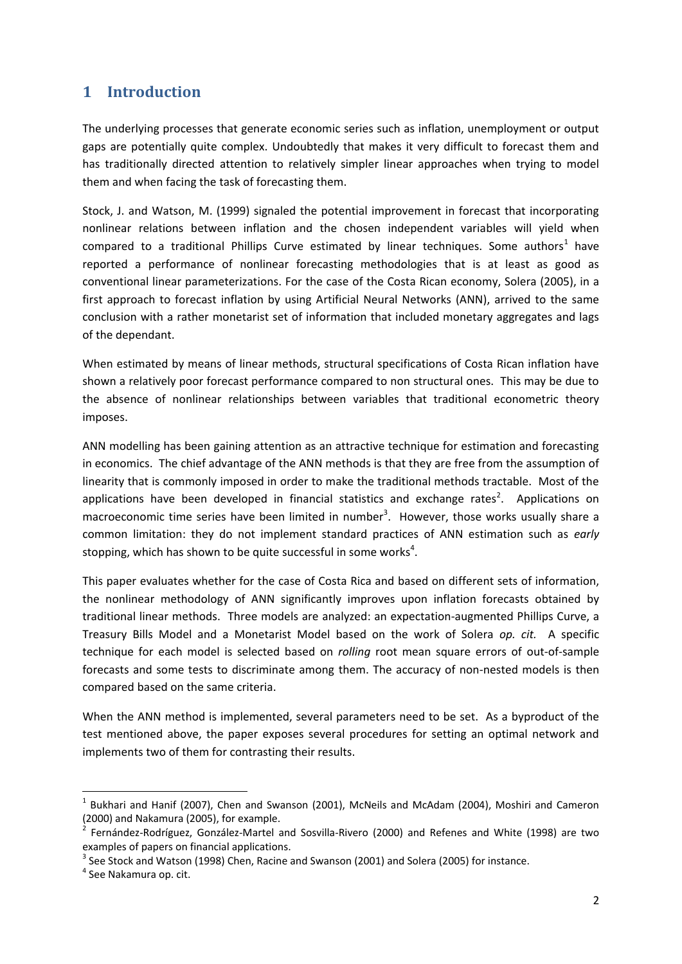## **1 Introduction**

The underlying processes that generate economic series such as inflation, unemployment or output gaps are potentially quite complex. Undoubtedly that makes it very difficult to forecast them and has traditionally directed attention to relatively simpler linear approaches when trying to model them and when facing the task of forecasting them.

Stock, J. and Watson, M. (1999) signaled the potential improvement in forecast that incorporating nonlinear relations between inflation and the chosen independent variables will yield when compared to a traditional Phillips Curve estimated by linear techniques. Some authors<sup>1</sup> have reported a performance of nonlinear forecasting methodologies that is at least as good as conventional linear parameterizations. For the case of the Costa Rican economy, Solera (2005), in a first approach to forecast inflation by using Artificial Neural Networks (ANN), arrived to the same conclusion with a rather monetarist set of information that included monetary aggregates and lags of the dependant.

When estimated by means of linear methods, structural specifications of Costa Rican inflation have shown a relatively poor forecast performance compared to non structural ones. This may be due to the absence of nonlinear relationships between variables that traditional econometric theory imposes.

ANN modelling has been gaining attention as an attractive technique for estimation and forecasting in economics. The chief advantage of the ANN methods is that they are free from the assumption of linearity that is commonly imposed in order to make the traditional methods tractable. Most of the applications have been developed in financial statistics and exchange rates<sup>2</sup>. Applications on macroeconomic time series have been limited in number<sup>3</sup>. However, those works usually share a common limitation: they do not implement standard practices of ANN estimation such as *early*  stopping, which has shown to be quite successful in some works<sup>4</sup>.

This paper evaluates whether for the case of Costa Rica and based on different sets of information, the nonlinear methodology of ANN significantly improves upon inflation forecasts obtained by traditional linear methods. Three models are analyzed: an expectation-augmented Phillips Curve, a Treasury Bills Model and a Monetarist Model based on the work of Solera *op. cit.* A specific technique for each model is selected based on *rolling* root mean square errors of out-of-sample forecasts and some tests to discriminate among them. The accuracy of non-nested models is then compared based on the same criteria.

When the ANN method is implemented, several parameters need to be set. As a byproduct of the test mentioned above, the paper exposes several procedures for setting an optimal network and implements two of them for contrasting their results.

1

<sup>1</sup> Bukhari and Hanif (2007), Chen and Swanson (2001), McNeils and McAdam (2004), Moshiri and Cameron (2000) and Nakamura (2005), for example. 2

Fernández-Rodríguez, González-Martel and Sosvilla-Rivero (2000) and Refenes and White (1998) are two examples of papers on financial applications.

 $3$  See Stock and Watson (1998) Chen, Racine and Swanson (2001) and Solera (2005) for instance.

<sup>&</sup>lt;sup>4</sup> See Nakamura op. cit.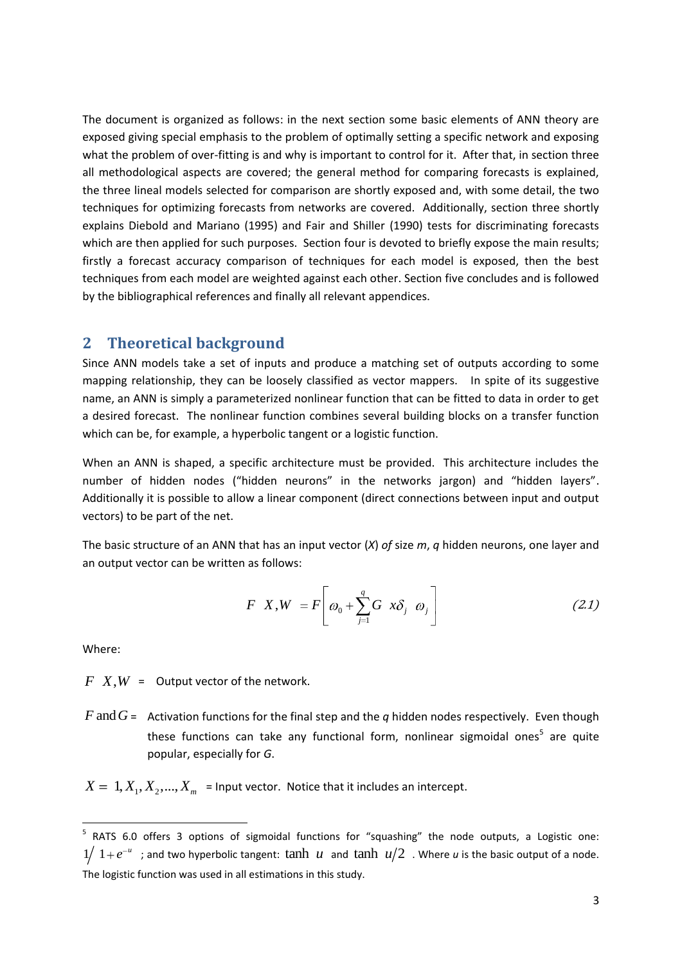The document is organized as follows: in the next section some basic elements of ANN theory are exposed giving special emphasis to the problem of optimally setting a specific network and exposing what the problem of over-fitting is and why is important to control for it. After that, in section three all methodological aspects are covered; the general method for comparing forecasts is explained, the three lineal models selected for comparison are shortly exposed and, with some detail, the two techniques for optimizing forecasts from networks are covered. Additionally, section three shortly explains Diebold and Mariano (1995) and Fair and Shiller (1990) tests for discriminating forecasts which are then applied for such purposes. Section four is devoted to briefly expose the main results; firstly a forecast accuracy comparison of techniques for each model is exposed, then the best techniques from each model are weighted against each other. Section five concludes and is followed by the bibliographical references and finally all relevant appendices.

#### **2 Theoretical background**

Since ANN models take a set of inputs and produce a matching set of outputs according to some mapping relationship, they can be loosely classified as vector mappers. In spite of its suggestive name, an ANN is simply a parameterized nonlinear function that can be fitted to data in order to get a desired forecast. The nonlinear function combines several building blocks on a transfer function which can be, for example, a hyperbolic tangent or a logistic function.

When an ANN is shaped, a specific architecture must be provided. This architecture includes the number of hidden nodes ("hidden neurons" in the networks jargon) and "hidden layers". Additionally it is possible to allow a linear component (direct connections between input and output vectors) to be part of the net.

The basic structure of an ANN that has an input vector (*X*) *of* size *m*, *q* hidden neurons, one layer and an output vector can be written as follows:

$$
F X, W = F \left[ \omega_0 + \sum_{j=1}^q G \, x \delta_j \, \omega_j \right] \tag{2.1}
$$

Where:

 $F\ X, W =$  Output vector of the network.

 $F$  and  $G$  = Activation functions for the final step and the  $q$  hidden nodes respectively. Even though these functions can take any functional form, nonlinear sigmoidal ones<sup>5</sup> are quite popular, especially for *G*.

 $X = 1, X_1, X_2, ..., X_m$  = Input vector. Notice that it includes an intercept.

 5 RATS 6.0 offers 3 options of sigmoidal functions for "squashing" the node outputs, a Logistic one:  $1/1 + e^{-u}$ ; and two hyperbolic tangent: tanh *u* and tanh  $u/2$ . Where *u* is the basic output of a node. The logistic function was used in all estimations in this study.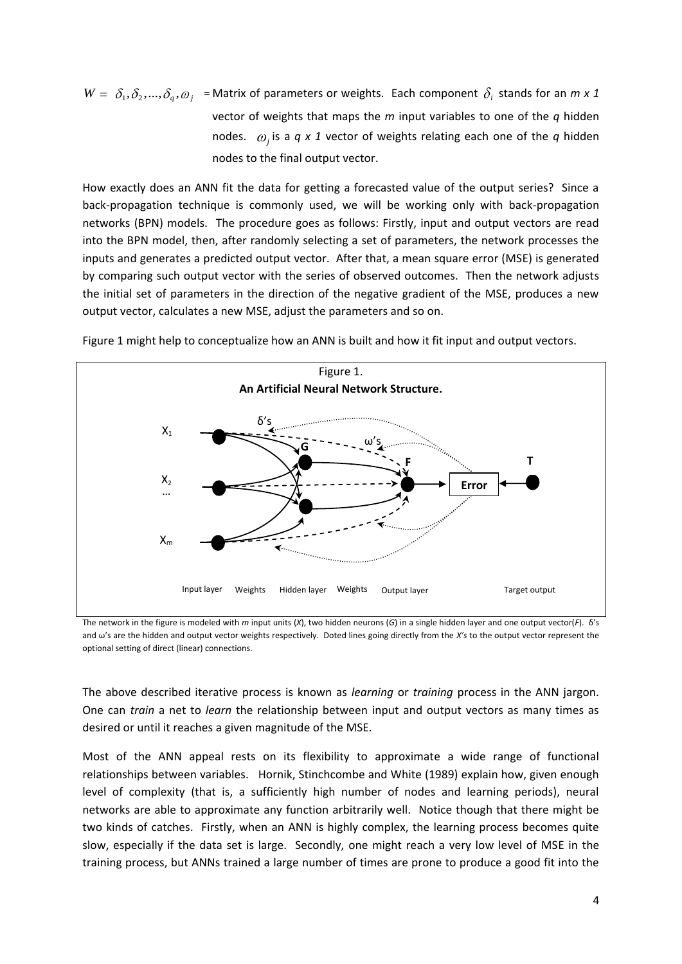$W = \delta_1, \delta_2, ..., \delta_q, \omega_j$  = Matrix of parameters or weights. Each component  $\delta_i$  stands for an  $m \times 1$ vector of weights that maps the *m* input variables to one of the *q* hidden nodes.  $\omega_j$  is a  $q \times 1$  vector of weights relating each one of the  $q$  hidden nodes to the final output vector.

How exactly does an ANN fit the data for getting a forecasted value of the output series? Since a back-propagation technique is commonly used, we will be working only with back-propagation networks (BPN) models. The procedure goes as follows: Firstly, input and output vectors are read into the BPN model, then, after randomly selecting a set of parameters, the network processes the inputs and generates a predicted output vector. After that, a mean square error (MSE) is generated by comparing such output vector with the series of observed outcomes. Then the network adjusts the initial set of parameters in the direction of the negative gradient of the MSE, produces a new output vector, calculates a new MSE, adjust the parameters and so on.



Figure 1 might help to conceptualize how an ANN is built and how it fit input and output vectors.

The network in the figure is modeled with *m* input units (*X*), two hidden neurons (*G*) in a single hidden layer and one output vector(*F*). δ's and ω's are the hidden and output vector weights respectively. Doted lines going directly from the *X's* to the output vector represent the optional setting of direct (linear) connections.

The above described iterative process is known as *learning* or *training* process in the ANN jargon. One can *train* a net to *learn* the relationship between input and output vectors as many times as desired or until it reaches a given magnitude of the MSE.

Most of the ANN appeal rests on its flexibility to approximate a wide range of functional relationships between variables. Hornik, Stinchcombe and White (1989) explain how, given enough level of complexity (that is, a sufficiently high number of nodes and learning periods), neural networks are able to approximate any function arbitrarily well. Notice though that there might be two kinds of catches. Firstly, when an ANN is highly complex, the learning process becomes quite slow, especially if the data set is large. Secondly, one might reach a very low level of MSE in the training process, but ANNs trained a large number of times are prone to produce a good fit into the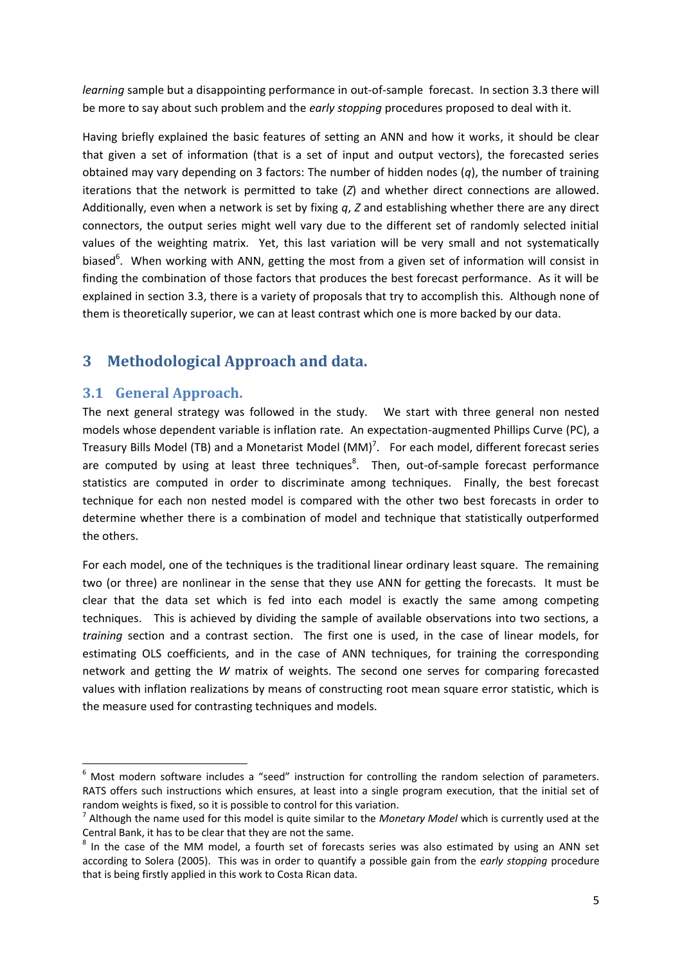*learning* sample but a disappointing performance in out-of-sample forecast. In section 3.3 there will be more to say about such problem and the *early stopping* procedures proposed to deal with it.

Having briefly explained the basic features of setting an ANN and how it works, it should be clear that given a set of information (that is a set of input and output vectors), the forecasted series obtained may vary depending on 3 factors: The number of hidden nodes (*q*), the number of training iterations that the network is permitted to take (*Z*) and whether direct connections are allowed. Additionally, even when a network is set by fixing *q*, *Z* and establishing whether there are any direct connectors, the output series might well vary due to the different set of randomly selected initial values of the weighting matrix. Yet, this last variation will be very small and not systematically biased<sup>6</sup>. When working with ANN, getting the most from a given set of information will consist in finding the combination of those factors that produces the best forecast performance. As it will be explained in section 3.3, there is a variety of proposals that try to accomplish this. Although none of them is theoretically superior, we can at least contrast which one is more backed by our data.

## **3 Methodological Approach and data.**

### **3.1 General Approach.**

**.** 

The next general strategy was followed in the study. We start with three general non nested models whose dependent variable is inflation rate. An expectation-augmented Phillips Curve (PC), a Treasury Bills Model (TB) and a Monetarist Model (MM)<sup>7</sup>. For each model, different forecast series are computed by using at least three techniques<sup>8</sup>. Then, out-of-sample forecast performance statistics are computed in order to discriminate among techniques. Finally, the best forecast technique for each non nested model is compared with the other two best forecasts in order to determine whether there is a combination of model and technique that statistically outperformed the others.

For each model, one of the techniques is the traditional linear ordinary least square. The remaining two (or three) are nonlinear in the sense that they use ANN for getting the forecasts. It must be clear that the data set which is fed into each model is exactly the same among competing techniques. This is achieved by dividing the sample of available observations into two sections, a *training* section and a contrast section. The first one is used, in the case of linear models, for estimating OLS coefficients, and in the case of ANN techniques, for training the corresponding network and getting the *W* matrix of weights. The second one serves for comparing forecasted values with inflation realizations by means of constructing root mean square error statistic, which is the measure used for contrasting techniques and models.

<sup>6</sup> Most modern software includes a "seed" instruction for controlling the random selection of parameters. RATS offers such instructions which ensures, at least into a single program execution, that the initial set of random weights is fixed, so it is possible to control for this variation.

<sup>7</sup> Although the name used for this model is quite similar to the *Monetary Model* which is currently used at the Central Bank, it has to be clear that they are not the same.

 $8$  In the case of the MM model, a fourth set of forecasts series was also estimated by using an ANN set according to Solera (2005). This was in order to quantify a possible gain from the *early stopping* procedure that is being firstly applied in this work to Costa Rican data.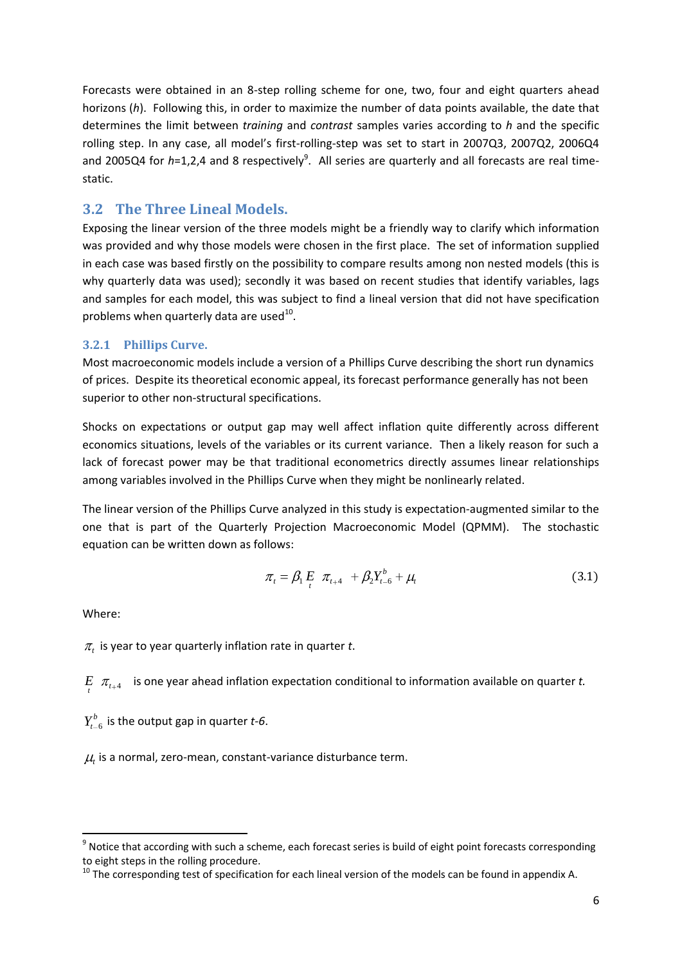Forecasts were obtained in an 8-step rolling scheme for one, two, four and eight quarters ahead horizons (*h*). Following this, in order to maximize the number of data points available, the date that determines the limit between *training* and *contrast* samples varies according to *h* and the specific rolling step. In any case, all model's first-rolling-step was set to start in 2007Q3, 2007Q2, 2006Q4 and 2005Q4 for h=1,2,4 and 8 respectively<sup>9</sup>. All series are quarterly and all forecasts are real timestatic.

### **3.2 The Three Lineal Models.**

Exposing the linear version of the three models might be a friendly way to clarify which information was provided and why those models were chosen in the first place. The set of information supplied in each case was based firstly on the possibility to compare results among non nested models (this is why quarterly data was used); secondly it was based on recent studies that identify variables, lags and samples for each model, this was subject to find a lineal version that did not have specification problems when quarterly data are used $^{10}$ .

#### **3.2.1 Phillips Curve.**

Most macroeconomic models include a version of a Phillips Curve describing the short run dynamics of prices. Despite its theoretical economic appeal, its forecast performance generally has not been superior to other non-structural specifications.

Shocks on expectations or output gap may well affect inflation quite differently across different economics situations, levels of the variables or its current variance. Then a likely reason for such a lack of forecast power may be that traditional econometrics directly assumes linear relationships among variables involved in the Phillips Curve when they might be nonlinearly related.

The linear version of the Phillips Curve analyzed in this study is expectation-augmented similar to the one that is part of the Quarterly Projection Macroeconomic Model (QPMM). The stochastic equation can be written down as follows:

$$
\pi_{t} = \beta_{1} E_{t} \pi_{t+4} + \beta_{2} Y_{t-6}^{b} + \mu_{t}
$$
\n(3.1)

Where:

**.** 

*t* is year to year quarterly inflation rate in quarter *t*.

 $E$   $\pi$ <sub>t+4</sub> is one year ahead inflation expectation conditional to information available on quarter *t.* 

 $Y_{t-6}^b$  is the output gap in quarter *t*-6.

*t* is a normal, zero-mean, constant-variance disturbance term.

 $^9$  Notice that according with such a scheme, each forecast series is build of eight point forecasts corresponding to eight steps in the rolling procedure.

<sup>&</sup>lt;sup>10</sup> The corresponding test of specification for each lineal version of the models can be found in appendix A.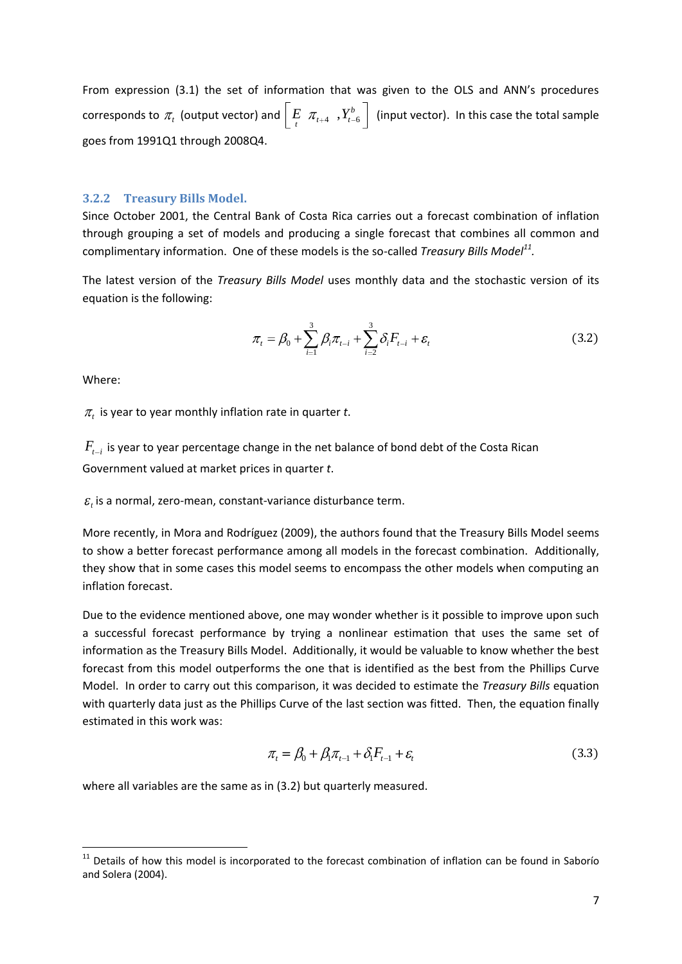From expression (3.1) the set of information that was given to the OLS and ANN's procedures corresponds to  $\pi_{\iota}$  (output vector) and  $\left| \begin{array}{ccc} E & \pi_{\iota+4} & , Y_{\iota-6}^b \end{array} \right|$  $\left[ \begin{array}{cc} E & \pi_{t+4} & , Y_{t-6}^b \end{array} \right]$  (input vector). In this case the total sample goes from 1991Q1 through 2008Q4.

#### **3.2.2 Treasury Bills Model.**

Since October 2001, the Central Bank of Costa Rica carries out a forecast combination of inflation through grouping a set of models and producing a single forecast that combines all common and complimentary information. One of these models is the so-called *Treasury Bills Model<sup>11</sup> .*

The latest version of the *Treasury Bills Model* uses monthly data and the stochastic version of its equation is the following:

$$
\pi_{t} = \beta_{0} + \sum_{i=1}^{3} \beta_{i} \pi_{t-i} + \sum_{i=2}^{3} \delta_{i} F_{t-i} + \varepsilon_{t}
$$
\n(3.2)

Where:

*t* is year to year monthly inflation rate in quarter *t*.

 $F_{_{t-i}}$  is year to year percentage change in the net balance of bond debt of the Costa Rican Government valued at market prices in quarter *t*.

*t* is a normal, zero-mean, constant-variance disturbance term.

More recently, in Mora and Rodríguez (2009), the authors found that the Treasury Bills Model seems to show a better forecast performance among all models in the forecast combination. Additionally, they show that in some cases this model seems to encompass the other models when computing an inflation forecast.

Due to the evidence mentioned above, one may wonder whether is it possible to improve upon such a successful forecast performance by trying a nonlinear estimation that uses the same set of information as the Treasury Bills Model. Additionally, it would be valuable to know whether the best forecast from this model outperforms the one that is identified as the best from the Phillips Curve Model. In order to carry out this comparison, it was decided to estimate the *Treasury Bills* equation with quarterly data just as the Phillips Curve of the last section was fitted. Then, the equation finally estimated in this work was:

$$
\pi_t = \beta_0 + \beta_1 \pi_{t-1} + \delta_1 F_{t-1} + \varepsilon_t \tag{3.3}
$$

where all variables are the same as in (3.2) but quarterly measured.

 $\overline{a}$ <sup>11</sup> Details of how this model is incorporated to the forecast combination of inflation can be found in Saborío and Solera (2004).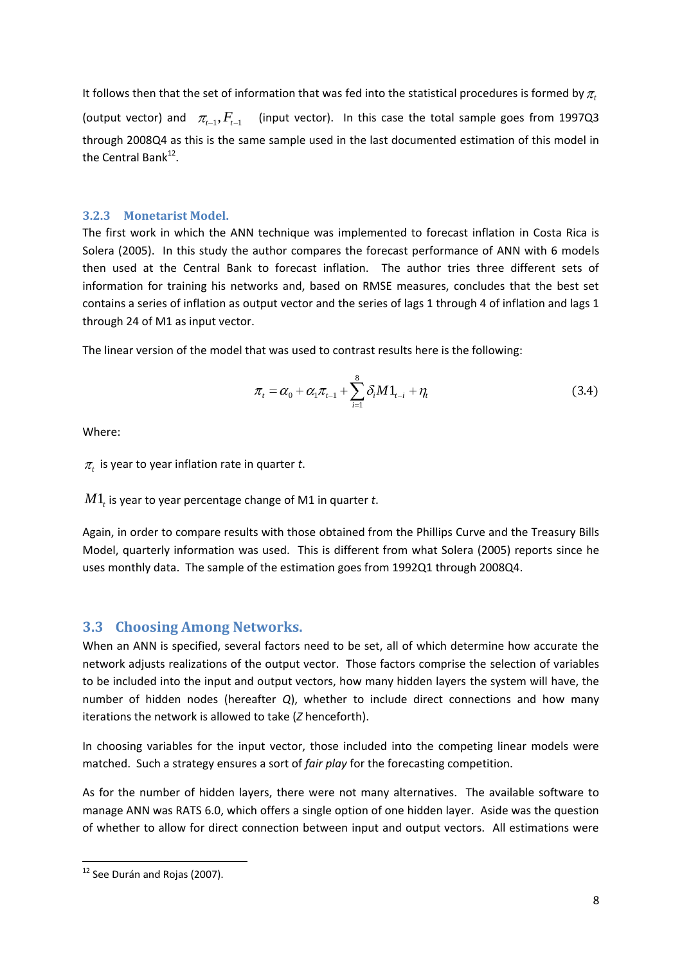It follows then that the set of information that was fed into the statistical procedures is formed by  $\pi_{\iota}$ 

(output vector) and  $\pi_{t-1}, F_{t-1}$ *(input vector).* In this case the total sample goes from 1997Q3 through 2008Q4 as this is the same sample used in the last documented estimation of this model in the Central Bank<sup>12</sup>.

#### **3.2.3 Monetarist Model.**

The first work in which the ANN technique was implemented to forecast inflation in Costa Rica is Solera (2005). In this study the author compares the forecast performance of ANN with 6 models then used at the Central Bank to forecast inflation. The author tries three different sets of information for training his networks and, based on RMSE measures, concludes that the best set contains a series of inflation as output vector and the series of lags 1 through 4 of inflation and lags 1 through 24 of M1 as input vector.

The linear version of the model that was used to contrast results here is the following:

$$
\pi_{t} = \alpha_{0} + \alpha_{1}\pi_{t-1} + \sum_{i=1}^{8} \delta_{i}M1_{t-i} + \eta_{t}
$$
\n(3.4)

Where:

*t* is year to year inflation rate in quarter *t*.

 $M1_{_t}$  is year to year percentage change of M1 in quarter  $t.$ 

Again, in order to compare results with those obtained from the Phillips Curve and the Treasury Bills Model, quarterly information was used. This is different from what Solera (2005) reports since he uses monthly data. The sample of the estimation goes from 1992Q1 through 2008Q4.

## **3.3 Choosing Among Networks.**

When an ANN is specified, several factors need to be set, all of which determine how accurate the network adjusts realizations of the output vector. Those factors comprise the selection of variables to be included into the input and output vectors, how many hidden layers the system will have, the number of hidden nodes (hereafter *Q*), whether to include direct connections and how many iterations the network is allowed to take (*Z* henceforth).

In choosing variables for the input vector, those included into the competing linear models were matched. Such a strategy ensures a sort of *fair play* for the forecasting competition.

As for the number of hidden layers, there were not many alternatives. The available software to manage ANN was RATS 6.0, which offers a single option of one hidden layer. Aside was the question of whether to allow for direct connection between input and output vectors. All estimations were

**<sup>.</sup>** <sup>12</sup> See Durán and Rojas (2007).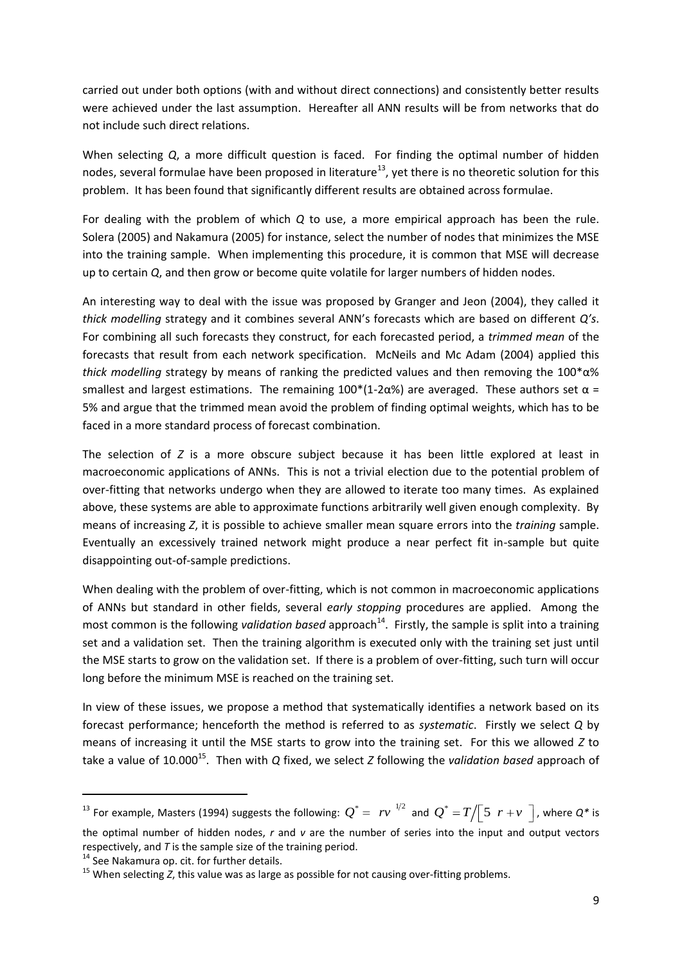carried out under both options (with and without direct connections) and consistently better results were achieved under the last assumption. Hereafter all ANN results will be from networks that do not include such direct relations.

When selecting *Q*, a more difficult question is faced. For finding the optimal number of hidden nodes, several formulae have been proposed in literature<sup>13</sup>, yet there is no theoretic solution for this problem. It has been found that significantly different results are obtained across formulae.

For dealing with the problem of which *Q* to use, a more empirical approach has been the rule. Solera (2005) and Nakamura (2005) for instance, select the number of nodes that minimizes the MSE into the training sample. When implementing this procedure, it is common that MSE will decrease up to certain *Q*, and then grow or become quite volatile for larger numbers of hidden nodes.

An interesting way to deal with the issue was proposed by Granger and Jeon (2004), they called it *thick modelling* strategy and it combines several ANN's forecasts which are based on different *Q's*. For combining all such forecasts they construct, for each forecasted period, a *trimmed mean* of the forecasts that result from each network specification. McNeils and Mc Adam (2004) applied this *thick modelling* strategy by means of ranking the predicted values and then removing the 100\*α% smallest and largest estimations. The remaining  $100*(1-2\alpha\%)$  are averaged. These authors set  $\alpha$  = 5% and argue that the trimmed mean avoid the problem of finding optimal weights, which has to be faced in a more standard process of forecast combination.

The selection of *Z* is a more obscure subject because it has been little explored at least in macroeconomic applications of ANNs. This is not a trivial election due to the potential problem of over-fitting that networks undergo when they are allowed to iterate too many times. As explained above, these systems are able to approximate functions arbitrarily well given enough complexity. By means of increasing *Z*, it is possible to achieve smaller mean square errors into the *training* sample. Eventually an excessively trained network might produce a near perfect fit in-sample but quite disappointing out-of-sample predictions.

When dealing with the problem of over-fitting, which is not common in macroeconomic applications of ANNs but standard in other fields, several *early stopping* procedures are applied. Among the most common is the following *validation based* approach<sup>14</sup>. Firstly, the sample is split into a training set and a validation set. Then the training algorithm is executed only with the training set just until the MSE starts to grow on the validation set. If there is a problem of over-fitting, such turn will occur long before the minimum MSE is reached on the training set.

In view of these issues, we propose a method that systematically identifies a network based on its forecast performance; henceforth the method is referred to as *systematic*. Firstly we select *Q* by means of increasing it until the MSE starts to grow into the training set. For this we allowed *Z* to take a value of 10.000<sup>15</sup>. Then with *Q* fixed, we select *Z* following the *validation based* approach of

**.** 

<sup>&</sup>lt;sup>13</sup> For example, Masters (1994) suggests the following:  $Q^* = rv^{-1/2}$  and  $Q^* = T/\sqrt{\sqrt{5}r + v/\sqrt{2}}$ , where  $Q^*$  is the optimal number of hidden nodes, *r* and *v* are the number of series into the input and output vectors respectively, and *T* is the sample size of the training period.

<sup>&</sup>lt;sup>14</sup> See Nakamura op. cit. for further details.

<sup>&</sup>lt;sup>15</sup> When selecting *Z*, this value was as large as possible for not causing over-fitting problems.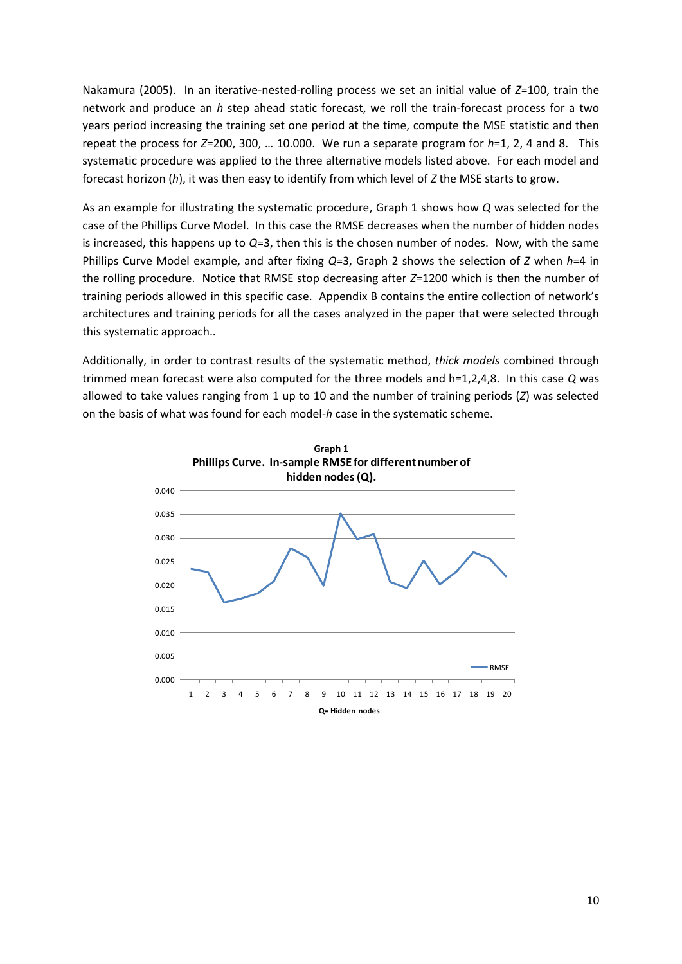Nakamura (2005). In an iterative-nested-rolling process we set an initial value of *Z*=100, train the network and produce an *h* step ahead static forecast, we roll the train-forecast process for a two years period increasing the training set one period at the time, compute the MSE statistic and then repeat the process for *Z*=200, 300, … 10.000. We run a separate program for *h*=1, 2, 4 and 8. This systematic procedure was applied to the three alternative models listed above. For each model and forecast horizon (*h*), it was then easy to identify from which level of *Z* the MSE starts to grow.

As an example for illustrating the systematic procedure, Graph 1 shows how *Q* was selected for the case of the Phillips Curve Model. In this case the RMSE decreases when the number of hidden nodes is increased, this happens up to *Q*=3, then this is the chosen number of nodes. Now, with the same Phillips Curve Model example, and after fixing *Q*=3, Graph 2 shows the selection of *Z* when *h*=4 in the rolling procedure. Notice that RMSE stop decreasing after *Z*=1200 which is then the number of training periods allowed in this specific case. Appendix B contains the entire collection of network's architectures and training periods for all the cases analyzed in the paper that were selected through this systematic approach..

Additionally, in order to contrast results of the systematic method, *thick models* combined through trimmed mean forecast were also computed for the three models and h=1,2,4,8. In this case *Q* was allowed to take values ranging from 1 up to 10 and the number of training periods (*Z*) was selected on the basis of what was found for each model-*h* case in the systematic scheme.

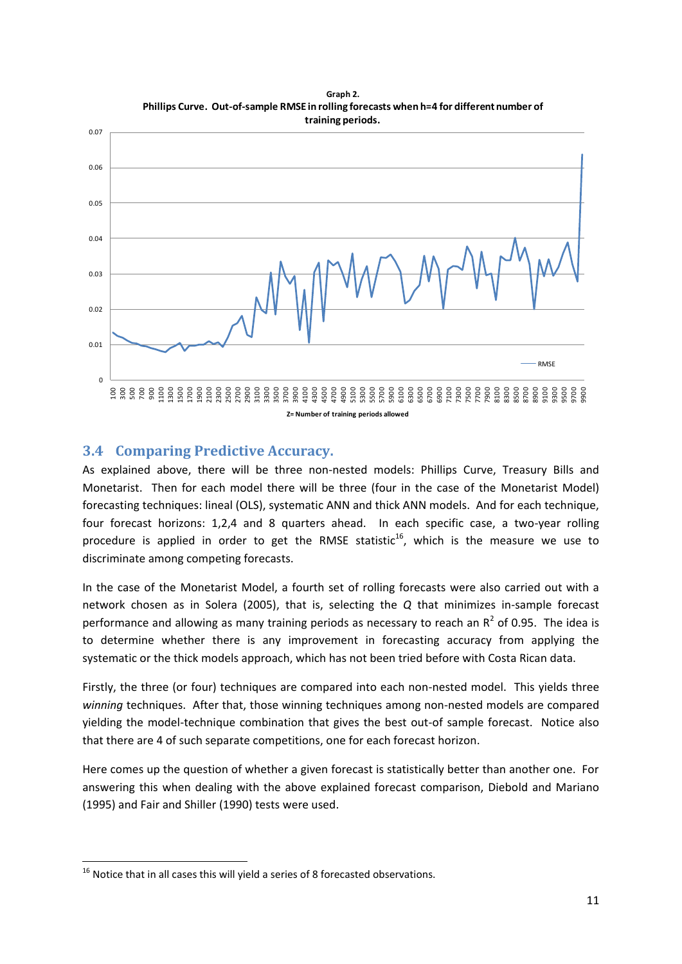

**Graph 2. Phillips Curve. Out-of-sample RMSE in rolling forecasts when h=4 for different number of** 

## **3.4 Comparing Predictive Accuracy.**

As explained above, there will be three non-nested models: Phillips Curve, Treasury Bills and Monetarist. Then for each model there will be three (four in the case of the Monetarist Model) forecasting techniques: lineal (OLS), systematic ANN and thick ANN models. And for each technique, four forecast horizons: 1,2,4 and 8 quarters ahead. In each specific case, a two-year rolling procedure is applied in order to get the RMSE statistic<sup>16</sup>, which is the measure we use to discriminate among competing forecasts.

In the case of the Monetarist Model, a fourth set of rolling forecasts were also carried out with a network chosen as in Solera (2005), that is, selecting the *Q* that minimizes in-sample forecast performance and allowing as many training periods as necessary to reach an  $R^2$  of 0.95. The idea is to determine whether there is any improvement in forecasting accuracy from applying the systematic or the thick models approach, which has not been tried before with Costa Rican data.

Firstly, the three (or four) techniques are compared into each non-nested model. This yields three *winning* techniques. After that, those winning techniques among non-nested models are compared yielding the model-technique combination that gives the best out-of sample forecast. Notice also that there are 4 of such separate competitions, one for each forecast horizon.

Here comes up the question of whether a given forecast is statistically better than another one. For answering this when dealing with the above explained forecast comparison, Diebold and Mariano (1995) and Fair and Shiller (1990) tests were used.

**<sup>.</sup>**  $16$  Notice that in all cases this will yield a series of 8 forecasted observations.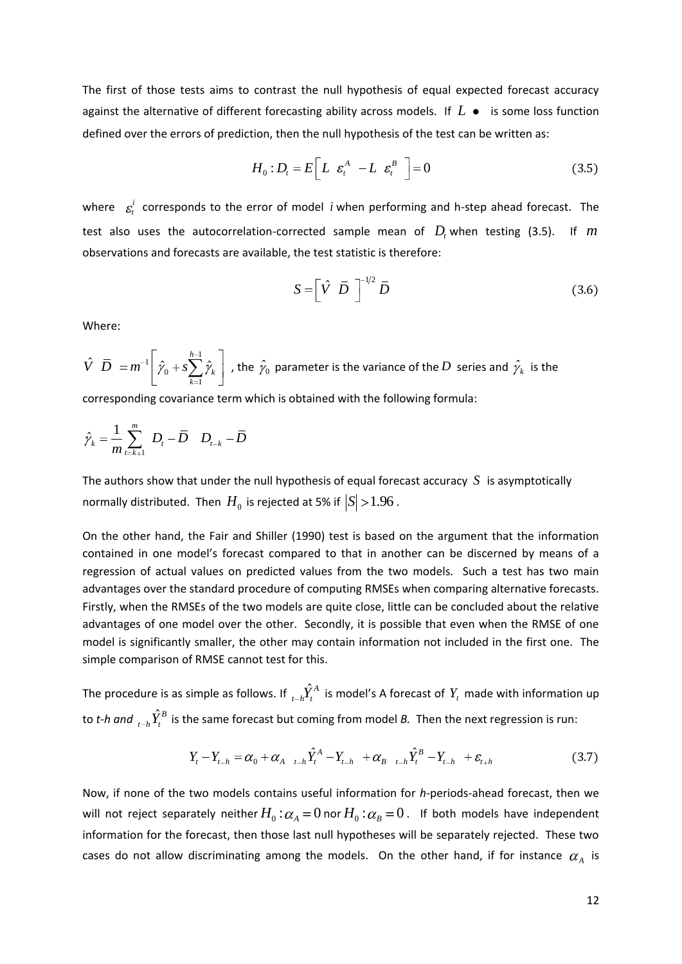The first of those tests aims to contrast the null hypothesis of equal expected forecast accuracy against the alternative of different forecasting ability across models. If  $L$   $\bullet$  is some loss function defined over the errors of prediction, then the null hypothesis of the test can be written as:

$$
H_0: D_t = E\left[L \varepsilon_t^A - L \varepsilon_t^B\right] = 0 \tag{3.5}
$$

where  $\varepsilon_i^i$ *t* corresponds to the error of model *i* when performing and h-step ahead forecast. The test also uses the autocorrelation-corrected sample mean of  $D<sub>t</sub>$  when testing (3.5). If  $m$ observations and forecasts are available, the test statistic is therefore:

$$
S = \left[\hat{V} \ \ \bar{D} \ \ \right]^{-1/2} \bar{D} \tag{3.6}
$$

Where:

 $\begin{array}{ccc} \n\begin{array}{ccc} \n1 & \hat{1} & \hat{1} & \hat{1} & \hat{1} \\
1 & \hat{1} & \hat{1} & \hat{1} & \hat{1} & \hat{1} \\
\hat{1} & \hat{1} & \hat{1} & \hat{1} & \hat{1} & \hat{1} \\
\hat{1} & \hat{1} & \hat{1} & \hat{1} & \hat{1} & \hat{1} \\
\hat{1} & \hat{1} & \hat{1} & \hat{1} & \hat{1} & \hat{1} \\
\hat{1} & \hat{1} & \hat{1} & \hat{1} & \hat{1} & \hat{1} \\$ 0 1  $\left\langle \hat{\vec{D}}\right\rangle =m^{-1}\left\vert \hat{\vec{\gamma}}_{0}+s\sum_{k}\hat{\vec{\gamma}}_{k}\right\vert ^{2},$ *k k*  $\hat{V}$   $\overline{D}$   $=$   $m^{-1}$   $\left| \hat{\varphi}_0 + s \sum_{k=1}^{h-1} \hat{\varphi}_k \right|$  , the  $\hat{\varphi}_0$  parameter is the variance of the  $D$  series and  $\hat{\varphi}_k$  is the

corresponding covariance term which is obtained with the following formula:

$$
\hat{\gamma}_k = \frac{1}{m} \sum_{t=k+1}^m D_t - \overline{D} \quad D_{t-k} - \overline{D}
$$

The authors show that under the null hypothesis of equal forecast accuracy  $S$  is asymptotically normally distributed. Then  $\,H_0^{}$  is rejected at 5% if  $\left| S \right| \!> \!1.96$  .

On the other hand, the Fair and Shiller (1990) test is based on the argument that the information contained in one model's forecast compared to that in another can be discerned by means of a regression of actual values on predicted values from the two models. Such a test has two main advantages over the standard procedure of computing RMSEs when comparing alternative forecasts. Firstly, when the RMSEs of the two models are quite close, little can be concluded about the relative advantages of one model over the other. Secondly, it is possible that even when the RMSE of one model is significantly smaller, the other may contain information not included in the first one. The simple comparison of RMSE cannot test for this.

The procedure is as simple as follows. If  ${}^{t}_{t-h}\!\hat{Y}^A_t$  is model's A forecast of  $Y_t$  made with information up to *t-h and*  ${}_{t-h} \hat{Y}_t^B$  is the same forecast but coming from model *B*. Then the next regression is run:<br>  $Y_t - Y_{t-h} = \alpha_0 + \alpha_{A} \frac{1}{t-h} \hat{Y}_t^A - Y_{t-h} + \alpha_{B} \frac{1}{t-h} \hat{Y}_t^B - Y_{t-h} + \varepsilon_{t+h}$  (3)

$$
Y_{t} - Y_{t-h} = \alpha_{0} + \alpha_{A_{t-h}} \hat{Y}_{t}^{A} - Y_{t-h} + \alpha_{B_{t-h}} \hat{Y}_{t}^{B} - Y_{t-h} + \varepsilon_{t+h}
$$
\n(3.7)

Now, if none of the two models contains useful information for *h-*periods-ahead forecast, then we will not reject separately neither  $H_0$  :  $\alpha_{\scriptscriptstyle A}$  =  $0$  nor  $H_0$  :  $\alpha_{\scriptscriptstyle B}$  =  $0$  . If both models have independent information for the forecast, then those last null hypotheses will be separately rejected. These two cases do not allow discriminating among the models. On the other hand, if for instance  $\alpha_A$  is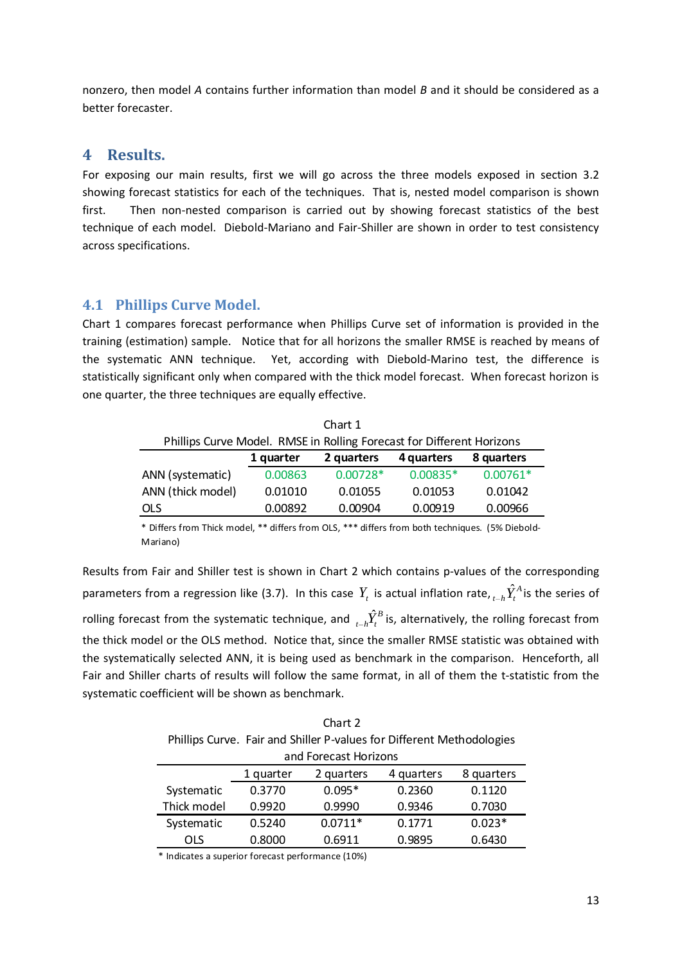nonzero, then model *A* contains further information than model *B* and it should be considered as a better forecaster.

#### **4 Results.**

For exposing our main results, first we will go across the three models exposed in section 3.2 showing forecast statistics for each of the techniques. That is, nested model comparison is shown first. Then non-nested comparison is carried out by showing forecast statistics of the best technique of each model. Diebold-Mariano and Fair-Shiller are shown in order to test consistency across specifications.

#### **4.1 Phillips Curve Model.**

Chart 1 compares forecast performance when Phillips Curve set of information is provided in the training (estimation) sample. Notice that for all horizons the smaller RMSE is reached by means of the systematic ANN technique. Yet, according with Diebold-Marino test, the difference is statistically significant only when compared with the thick model forecast. When forecast horizon is one quarter, the three techniques are equally effective.

| Chart 1                                                               |           |            |            |            |  |  |  |
|-----------------------------------------------------------------------|-----------|------------|------------|------------|--|--|--|
| Phillips Curve Model. RMSE in Rolling Forecast for Different Horizons |           |            |            |            |  |  |  |
|                                                                       | 1 quarter | 2 quarters | 4 quarters | 8 quarters |  |  |  |
| ANN (systematic)                                                      | 0.00863   | $0.00728*$ | $0.00835*$ | $0.00761*$ |  |  |  |
| ANN (thick model)                                                     | 0.01010   | 0.01055    | 0.01053    | 0.01042    |  |  |  |
| <b>OLS</b>                                                            | 0.00892   | 0.00904    | 0.00919    | 0.00966    |  |  |  |

\* Differs from Thick model, \*\* differs from OLS, \*\*\* differs from both techniques. (5% Diebold-Mariano)

Results from Fair and Shiller test is shown in Chart 2 which contains p-values of the corresponding parameters from a regression like (3.7). In this case  $Y_t$  is actual inflation rate,  ${}_{t-h}\hat{Y}^A_t$  is the series of rolling forecast from the systematic technique, and  ${}_{t-h}\hat{Y}^B_t$  is, alternatively, the rolling forecast from the thick model or the OLS method. Notice that, since the smaller RMSE statistic was obtained with the systematically selected ANN, it is being used as benchmark in the comparison. Henceforth, all Fair and Shiller charts of results will follow the same format, in all of them the t-statistic from the systematic coefficient will be shown as benchmark.

Chart 2 Phillips Curve. Fair and Shiller P-values for Different Methodologies and Forecast Horizons

| <u>and T OLC Cast TIOTIZOIIS</u> |                                                     |           |        |          |  |  |  |
|----------------------------------|-----------------------------------------------------|-----------|--------|----------|--|--|--|
|                                  | 2 quarters<br>8 quarters<br>4 quarters<br>1 quarter |           |        |          |  |  |  |
| Systematic                       | 0.3770                                              | $0.095*$  | 0.2360 | 0.1120   |  |  |  |
| Thick model                      | 0.9920                                              | 0.9990    | 0.9346 | 0.7030   |  |  |  |
| Systematic                       | 0.5240                                              | $0.0711*$ | 0.1771 | $0.023*$ |  |  |  |
| OLS                              | 0.8000                                              | 0.6911    | 0.9895 | 0.6430   |  |  |  |

\* Indicates a superior forecast performance (10%)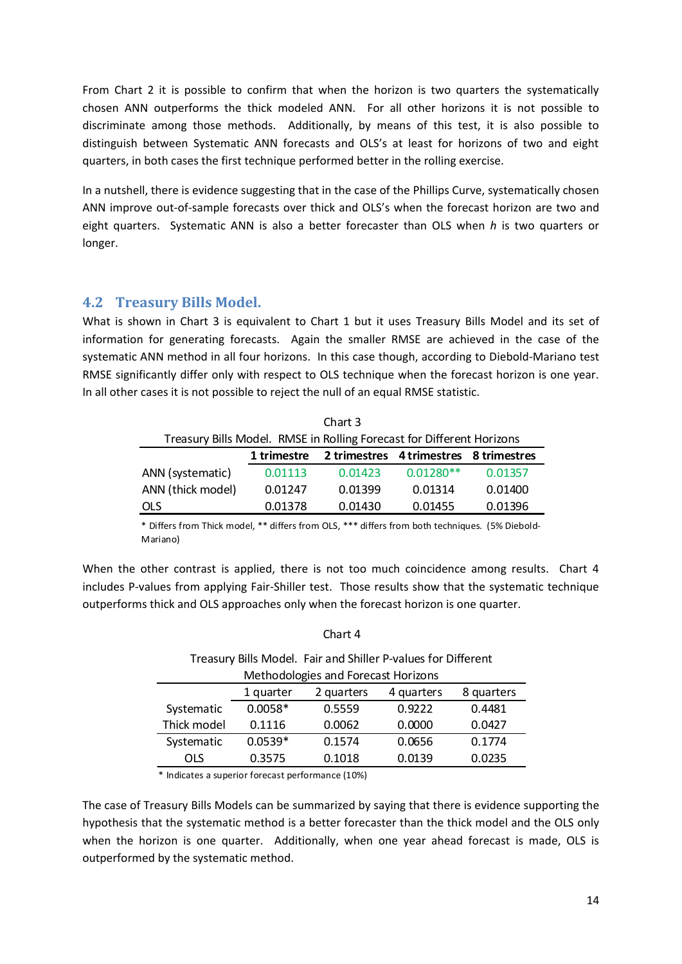From Chart 2 it is possible to confirm that when the horizon is two quarters the systematically chosen ANN outperforms the thick modeled ANN. For all other horizons it is not possible to discriminate among those methods. Additionally, by means of this test, it is also possible to distinguish between Systematic ANN forecasts and OLS's at least for horizons of two and eight quarters, in both cases the first technique performed better in the rolling exercise.

In a nutshell, there is evidence suggesting that in the case of the Phillips Curve, systematically chosen ANN improve out-of-sample forecasts over thick and OLS's when the forecast horizon are two and eight quarters. Systematic ANN is also a better forecaster than OLS when *h* is two quarters or longer.

#### **4.2 Treasury Bills Model.**

What is shown in Chart 3 is equivalent to Chart 1 but it uses Treasury Bills Model and its set of information for generating forecasts. Again the smaller RMSE are achieved in the case of the systematic ANN method in all four horizons. In this case though, according to Diebold-Mariano test RMSE significantly differ only with respect to OLS technique when the forecast horizon is one year. In all other cases it is not possible to reject the null of an equal RMSE statistic.

| Chart 3                                                               |             |                                        |             |         |  |  |  |
|-----------------------------------------------------------------------|-------------|----------------------------------------|-------------|---------|--|--|--|
| Treasury Bills Model. RMSE in Rolling Forecast for Different Horizons |             |                                        |             |         |  |  |  |
|                                                                       | 1 trimestre | 2 trimestres 4 trimestres 8 trimestres |             |         |  |  |  |
| ANN (systematic)                                                      | 0.01113     | 0.01423                                | $0.01280**$ | 0.01357 |  |  |  |
| ANN (thick model)                                                     | 0.01247     | 0.01399                                | 0.01314     | 0.01400 |  |  |  |
| 0.01378<br>0.01430<br>0.01396<br>0.01455<br><b>OLS</b>                |             |                                        |             |         |  |  |  |

\* Differs from Thick model, \*\* differs from OLS, \*\*\* differs from both techniques. (5% Diebold-Mariano)

When the other contrast is applied, there is not too much coincidence among results. Chart 4 includes P-values from applying Fair-Shiller test. Those results show that the systematic technique outperforms thick and OLS approaches only when the forecast horizon is one quarter.

| Chart 4                                                       |           |                                     |        |        |  |  |
|---------------------------------------------------------------|-----------|-------------------------------------|--------|--------|--|--|
| Treasury Bills Model. Fair and Shiller P-values for Different |           |                                     |        |        |  |  |
|                                                               |           | Methodologies and Forecast Horizons |        |        |  |  |
| 8 quarters<br>2 quarters<br>4 quarters<br>1 quarter           |           |                                     |        |        |  |  |
| Systematic                                                    | $0.0058*$ | 0.5559                              | 0.9222 | 0.4481 |  |  |
| Thick model                                                   | 0.1116    | 0.0062                              | 0.0000 | 0.0427 |  |  |
| Systematic                                                    | $0.0539*$ | 0.1574                              | 0.0656 | 0.1774 |  |  |
| OLS                                                           | 0.3575    | 0.1018                              | 0.0139 | 0.0235 |  |  |

\* Indicates a superior forecast performance (10%)

The case of Treasury Bills Models can be summarized by saying that there is evidence supporting the hypothesis that the systematic method is a better forecaster than the thick model and the OLS only when the horizon is one quarter. Additionally, when one year ahead forecast is made, OLS is outperformed by the systematic method.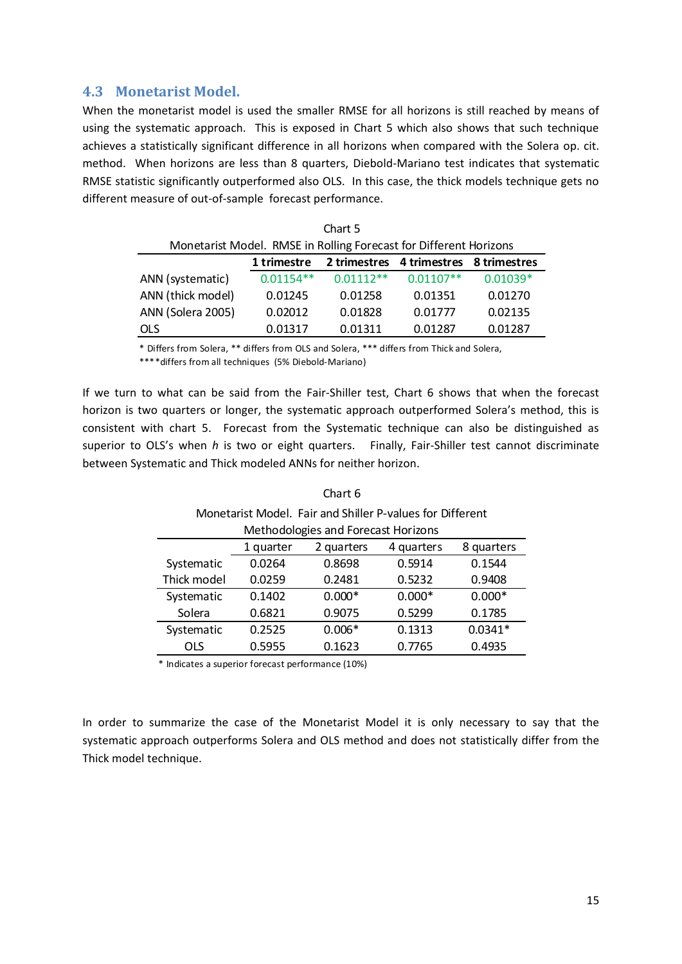#### **4.3 Monetarist Model.**

When the monetarist model is used the smaller RMSE for all horizons is still reached by means of using the systematic approach. This is exposed in Chart 5 which also shows that such technique achieves a statistically significant difference in all horizons when compared with the Solera op. cit. method. When horizons are less than 8 quarters, Diebold-Mariano test indicates that systematic RMSE statistic significantly outperformed also OLS. In this case, the thick models technique gets no different measure of out-of-sample forecast performance.

| Chart 5                                                           |             |             |             |            |  |  |  |
|-------------------------------------------------------------------|-------------|-------------|-------------|------------|--|--|--|
| Monetarist Model. RMSE in Rolling Forecast for Different Horizons |             |             |             |            |  |  |  |
| 2 trimestres 4 trimestres<br>1 trimestre<br>8 trimestres          |             |             |             |            |  |  |  |
| ANN (systematic)                                                  | $0.01154**$ | $0.01112**$ | $0.01107**$ | $0.01039*$ |  |  |  |
| ANN (thick model)                                                 | 0.01245     | 0.01258     | 0.01351     | 0.01270    |  |  |  |
| ANN (Solera 2005)                                                 | 0.02012     | 0.01828     | 0.01777     | 0.02135    |  |  |  |
| OLS                                                               | 0.01317     | 0.01311     | 0.01287     | 0.01287    |  |  |  |

\* Differs from Solera, \*\* differs from OLS and Solera, \*\*\* differs from Thick and Solera,

\*\*\*\*differs from all techniques (5% Diebold-Mariano)

If we turn to what can be said from the Fair-Shiller test, Chart 6 shows that when the forecast horizon is two quarters or longer, the systematic approach outperformed Solera's method, this is consistent with chart 5. Forecast from the Systematic technique can also be distinguished as superior to OLS's when *h* is two or eight quarters. Finally, Fair-Shiller test cannot discriminate between Systematic and Thick modeled ANNs for neither horizon.

| Chart 6     |                                                     |                                                           |          |           |  |  |
|-------------|-----------------------------------------------------|-----------------------------------------------------------|----------|-----------|--|--|
|             |                                                     | Monetarist Model. Fair and Shiller P-values for Different |          |           |  |  |
|             |                                                     | Methodologies and Forecast Horizons                       |          |           |  |  |
|             | 2 quarters<br>4 quarters<br>8 quarters<br>1 quarter |                                                           |          |           |  |  |
| Systematic  | 0.0264                                              | 0.8698                                                    | 0.5914   | 0.1544    |  |  |
| Thick model | 0.5232<br>0.0259<br>0.9408<br>0.2481                |                                                           |          |           |  |  |
| Systematic  | 0.1402                                              | $0.000*$                                                  | $0.000*$ | $0.000*$  |  |  |
| Solera      | 0.6821                                              | 0.9075                                                    | 0.5299   | 0.1785    |  |  |
| Systematic  | 0.2525                                              | $0.006*$                                                  | 0.1313   | $0.0341*$ |  |  |
| <b>OLS</b>  | 0.5955                                              | 0.1623                                                    | 0.7765   | 0.4935    |  |  |

\* Indicates a superior forecast performance (10%)

In order to summarize the case of the Monetarist Model it is only necessary to say that the systematic approach outperforms Solera and OLS method and does not statistically differ from the Thick model technique.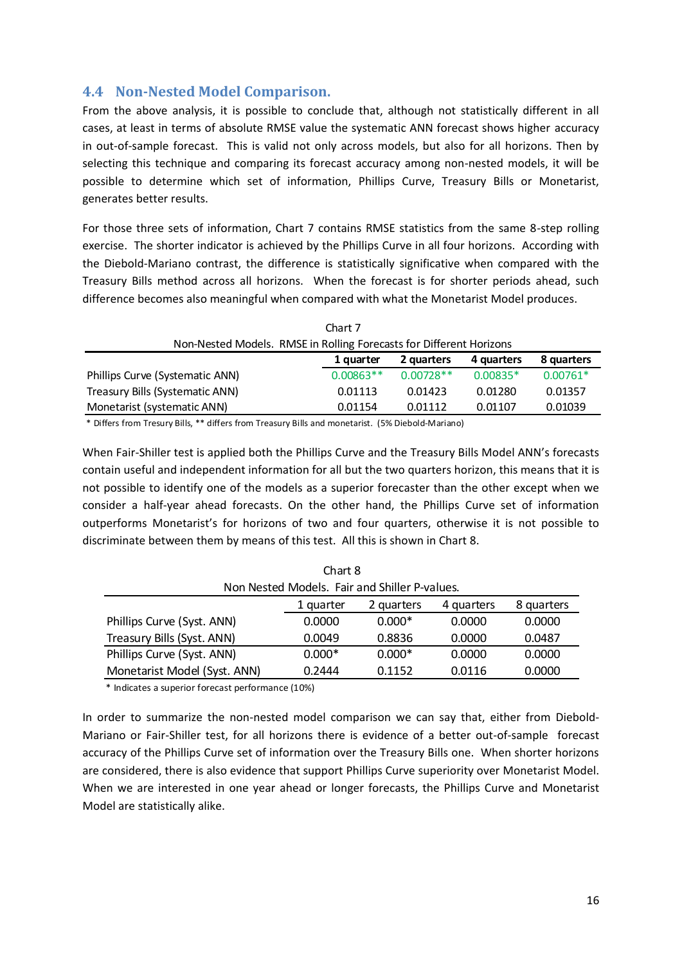### **4.4 Non-Nested Model Comparison.**

From the above analysis, it is possible to conclude that, although not statistically different in all cases, at least in terms of absolute RMSE value the systematic ANN forecast shows higher accuracy in out-of-sample forecast. This is valid not only across models, but also for all horizons. Then by selecting this technique and comparing its forecast accuracy among non-nested models, it will be possible to determine which set of information, Phillips Curve, Treasury Bills or Monetarist, generates better results.

For those three sets of information, Chart 7 contains RMSE statistics from the same 8-step rolling exercise. The shorter indicator is achieved by the Phillips Curve in all four horizons. According with the Diebold-Mariano contrast, the difference is statistically significative when compared with the Treasury Bills method across all horizons. When the forecast is for shorter periods ahead, such difference becomes also meaningful when compared with what the Monetarist Model produces.

| Chart 7                                                                 |             |             |            |            |  |  |
|-------------------------------------------------------------------------|-------------|-------------|------------|------------|--|--|
| Non-Nested Models. RMSE in Rolling Forecasts for Different Horizons     |             |             |            |            |  |  |
|                                                                         | 1 quarter   | 2 quarters  | 4 quarters | 8 quarters |  |  |
| Phillips Curve (Systematic ANN)                                         | $0.00863**$ | $0.00728**$ | $0.00835*$ | $0.00761*$ |  |  |
| Treasury Bills (Systematic ANN)                                         | 0.01113     | 0.01423     | 0.01280    | 0.01357    |  |  |
| Monetarist (systematic ANN)<br>0.01039<br>0.01154<br>0.01112<br>0.01107 |             |             |            |            |  |  |

\* Differs from Tresury Bills, \*\* differs from Treasury Bills and monetarist. (5% Diebold-Mariano)

When Fair-Shiller test is applied both the Phillips Curve and the Treasury Bills Model ANN's forecasts contain useful and independent information for all but the two quarters horizon, this means that it is not possible to identify one of the models as a superior forecaster than the other except when we consider a half-year ahead forecasts. On the other hand, the Phillips Curve set of information outperforms Monetarist's for horizons of two and four quarters, otherwise it is not possible to discriminate between them by means of this test. All this is shown in Chart 8.

| Chart 8                                                              |          |                                               |        |        |  |  |
|----------------------------------------------------------------------|----------|-----------------------------------------------|--------|--------|--|--|
|                                                                      |          | Non Nested Models. Fair and Shiller P-values. |        |        |  |  |
| 2 quarters<br>8 quarters<br>4 quarters<br>1 quarter                  |          |                                               |        |        |  |  |
| Phillips Curve (Syst. ANN)                                           | 0.0000   | $0.000*$                                      | 0.0000 | 0.0000 |  |  |
| Treasury Bills (Syst. ANN)                                           | 0.0049   | 0.8836                                        | 0.0000 | 0.0487 |  |  |
| Phillips Curve (Syst. ANN)                                           | $0.000*$ | $0.000*$                                      | 0.0000 | 0.0000 |  |  |
| Monetarist Model (Syst. ANN)<br>0.2444<br>0.1152<br>0.0000<br>0.0116 |          |                                               |        |        |  |  |

\* Indicates a superior forecast performance (10%)

In order to summarize the non-nested model comparison we can say that, either from Diebold-Mariano or Fair-Shiller test, for all horizons there is evidence of a better out-of-sample forecast accuracy of the Phillips Curve set of information over the Treasury Bills one. When shorter horizons are considered, there is also evidence that support Phillips Curve superiority over Monetarist Model. When we are interested in one year ahead or longer forecasts, the Phillips Curve and Monetarist Model are statistically alike.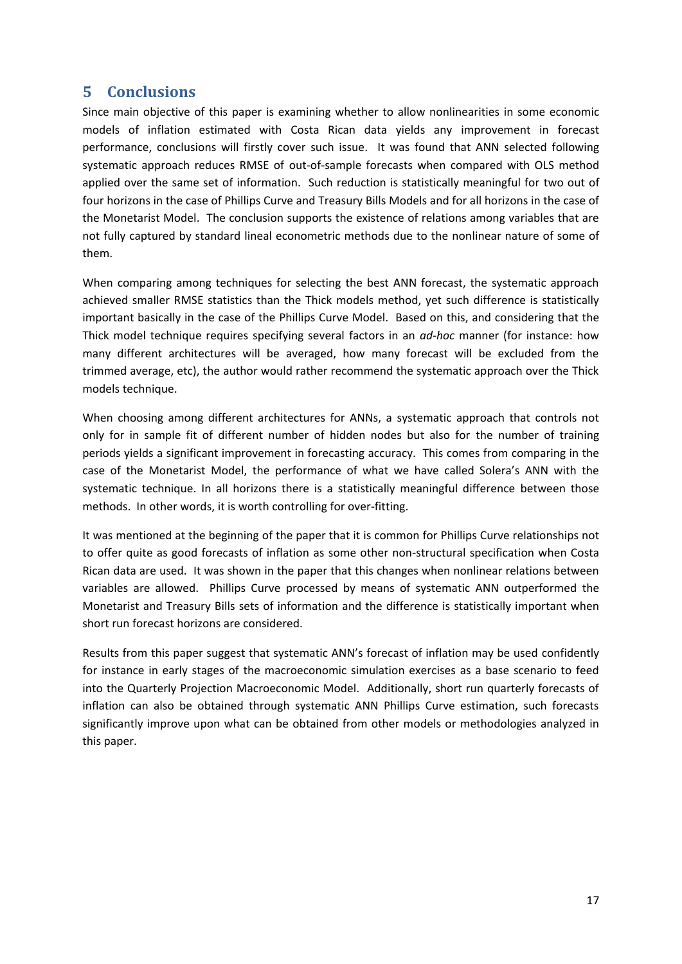## **5 Conclusions**

Since main objective of this paper is examining whether to allow nonlinearities in some economic models of inflation estimated with Costa Rican data yields any improvement in forecast performance, conclusions will firstly cover such issue. It was found that ANN selected following systematic approach reduces RMSE of out-of-sample forecasts when compared with OLS method applied over the same set of information. Such reduction is statistically meaningful for two out of four horizons in the case of Phillips Curve and Treasury Bills Models and for all horizons in the case of the Monetarist Model. The conclusion supports the existence of relations among variables that are not fully captured by standard lineal econometric methods due to the nonlinear nature of some of them.

When comparing among techniques for selecting the best ANN forecast, the systematic approach achieved smaller RMSE statistics than the Thick models method, yet such difference is statistically important basically in the case of the Phillips Curve Model. Based on this, and considering that the Thick model technique requires specifying several factors in an *ad-hoc* manner (for instance: how many different architectures will be averaged, how many forecast will be excluded from the trimmed average, etc), the author would rather recommend the systematic approach over the Thick models technique.

When choosing among different architectures for ANNs, a systematic approach that controls not only for in sample fit of different number of hidden nodes but also for the number of training periods yields a significant improvement in forecasting accuracy. This comes from comparing in the case of the Monetarist Model, the performance of what we have called Solera's ANN with the systematic technique. In all horizons there is a statistically meaningful difference between those methods. In other words, it is worth controlling for over-fitting.

It was mentioned at the beginning of the paper that it is common for Phillips Curve relationships not to offer quite as good forecasts of inflation as some other non-structural specification when Costa Rican data are used. It was shown in the paper that this changes when nonlinear relations between variables are allowed. Phillips Curve processed by means of systematic ANN outperformed the Monetarist and Treasury Bills sets of information and the difference is statistically important when short run forecast horizons are considered.

Results from this paper suggest that systematic ANN's forecast of inflation may be used confidently for instance in early stages of the macroeconomic simulation exercises as a base scenario to feed into the Quarterly Projection Macroeconomic Model. Additionally, short run quarterly forecasts of inflation can also be obtained through systematic ANN Phillips Curve estimation, such forecasts significantly improve upon what can be obtained from other models or methodologies analyzed in this paper.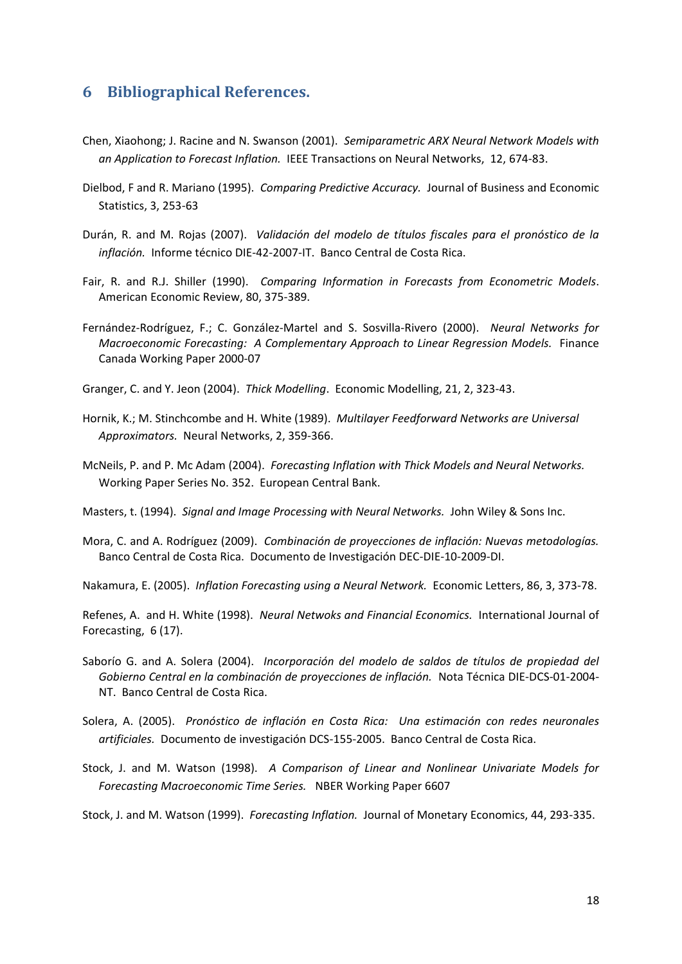## **6 Bibliographical References.**

- Chen, Xiaohong; J. Racine and N. Swanson (2001). *Semiparametric ARX Neural Network Models with an Application to Forecast Inflation.* IEEE Transactions on Neural Networks, 12, 674-83.
- Dielbod, F and R. Mariano (1995). *Comparing Predictive Accuracy.* Journal of Business and Economic Statistics, 3, 253-63
- Durán, R. and M. Rojas (2007). *Validación del modelo de títulos fiscales para el pronóstico de la inflación.* Informe técnico DIE-42-2007-IT. Banco Central de Costa Rica.
- Fair, R. and R.J. Shiller (1990). *Comparing Information in Forecasts from Econometric Models*. American Economic Review, 80, 375-389.
- Fernández-Rodríguez, F.; C. González-Martel and S. Sosvilla-Rivero (2000). *Neural Networks for Macroeconomic Forecasting: A Complementary Approach to Linear Regression Models.* Finance Canada Working Paper 2000-07
- Granger, C. and Y. Jeon (2004). *Thick Modelling*. Economic Modelling, 21, 2, 323-43.
- Hornik, K.; M. Stinchcombe and H. White (1989). *Multilayer Feedforward Networks are Universal Approximators.* Neural Networks, 2, 359-366.
- McNeils, P. and P. Mc Adam (2004). *Forecasting Inflation with Thick Models and Neural Networks.*  Working Paper Series No. 352. European Central Bank.

Masters, t. (1994). *Signal and Image Processing with Neural Networks.* John Wiley & Sons Inc.

Mora, C. and A. Rodríguez (2009). *Combinación de proyecciones de inflación: Nuevas metodologías.* Banco Central de Costa Rica. Documento de Investigación DEC-DIE-10-2009-DI.

Nakamura, E. (2005). *Inflation Forecasting using a Neural Network.* Economic Letters, 86, 3, 373-78.

Refenes, A. and H. White (1998). *Neural Netwoks and Financial Economics.* International Journal of Forecasting, 6 (17).

- Saborío G. and A. Solera (2004). *Incorporación del modelo de saldos de títulos de propiedad del Gobierno Central en la combinación de proyecciones de inflación.* Nota Técnica DIE-DCS-01-2004- NT. Banco Central de Costa Rica.
- Solera, A. (2005). *Pronóstico de inflación en Costa Rica: Una estimación con redes neuronales artificiales.* Documento de investigación DCS-155-2005. Banco Central de Costa Rica.
- Stock, J. and M. Watson (1998). *A Comparison of Linear and Nonlinear Univariate Models for Forecasting Macroeconomic Time Series.* NBER Working Paper 6607

Stock, J. and M. Watson (1999). *Forecasting Inflation.* Journal of Monetary Economics, 44, 293-335.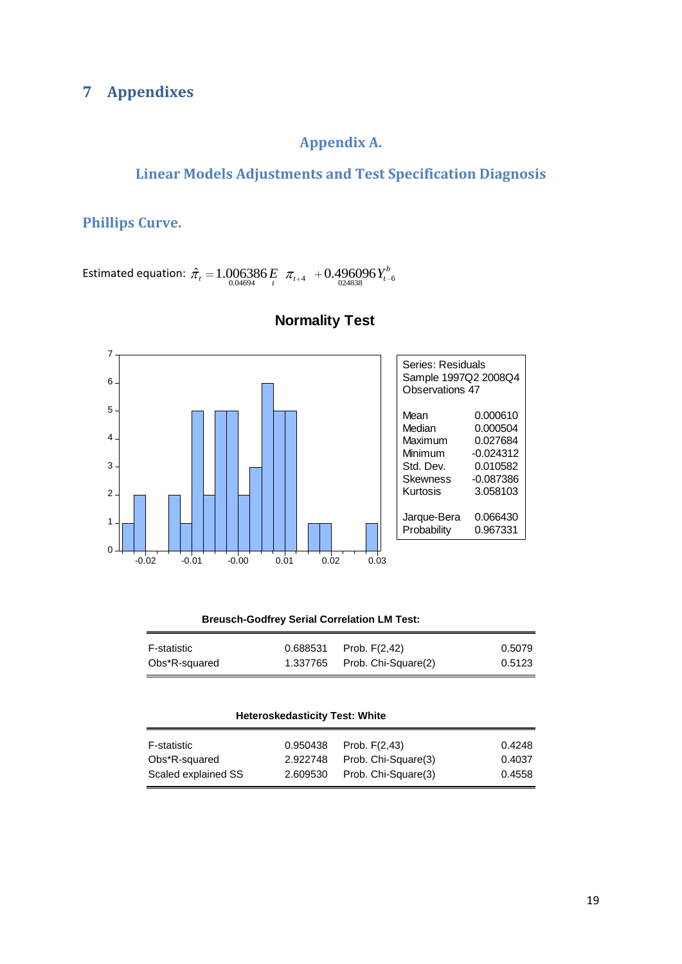## **7 Appendixes**

## **Appendix A.**

## **Linear Models Adjustments and Test Specification Diagnosis**

**Phillips Curve.**

Estimated equation:  $\hat{\pi}_t = 1.006386 E \pi_{t+4} + 0.496096 Y_{t-6}^b$ 



#### **Normality Test**

| Breusch-Godfrey Serial Correlation LM Test: |  |  |
|---------------------------------------------|--|--|
|---------------------------------------------|--|--|

| F-statistic   | $0.688531$ Prob. $F(2,42)$     | 0.5079 |
|---------------|--------------------------------|--------|
| Obs*R-squared | $1.337765$ Prob. Chi-Square(2) | 0.5123 |

#### **Heteroskedasticity Test: White**

| F-statistic         | 0.950438 | Prob. $F(2,43)$     | 0.4248 |
|---------------------|----------|---------------------|--------|
| Obs*R-squared       | 2.922748 | Prob. Chi-Square(3) | 0.4037 |
| Scaled explained SS | 2.609530 | Prob. Chi-Square(3) | 0.4558 |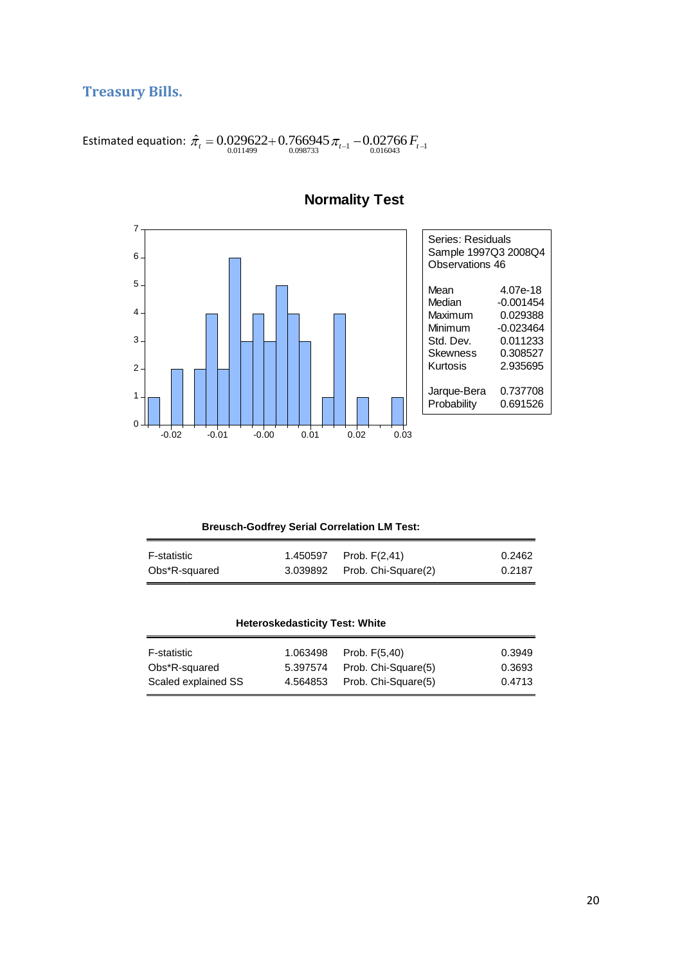## **Treasury Bills.**

Estimated equation:  $\hat{\pi}_t = 0.029622 + 0.766945 \, \pi_{t-1} - 0.02766 \, F_{t-1}$ 



**Normality Test**

| <b>Breusch-Godfrey Serial Correlation LM Test:</b> |  |  |  |
|----------------------------------------------------|--|--|--|
|----------------------------------------------------|--|--|--|

| F-statistic   | 1.450597 Prob. F(2,41)       | 0.2462 |
|---------------|------------------------------|--------|
| Obs*R-squared | 3.039892 Prob. Chi-Square(2) | 0.2187 |

| <b>Heteroskedasticity Test: White</b> |          |                     |        |
|---------------------------------------|----------|---------------------|--------|
| <b>F-statistic</b>                    | 1.063498 | Prob. $F(5,40)$     | 0.3949 |
| Obs*R-squared                         | 5.397574 | Prob. Chi-Square(5) | 0.3693 |
| Scaled explained SS                   | 4.564853 | Prob. Chi-Square(5) | 0.4713 |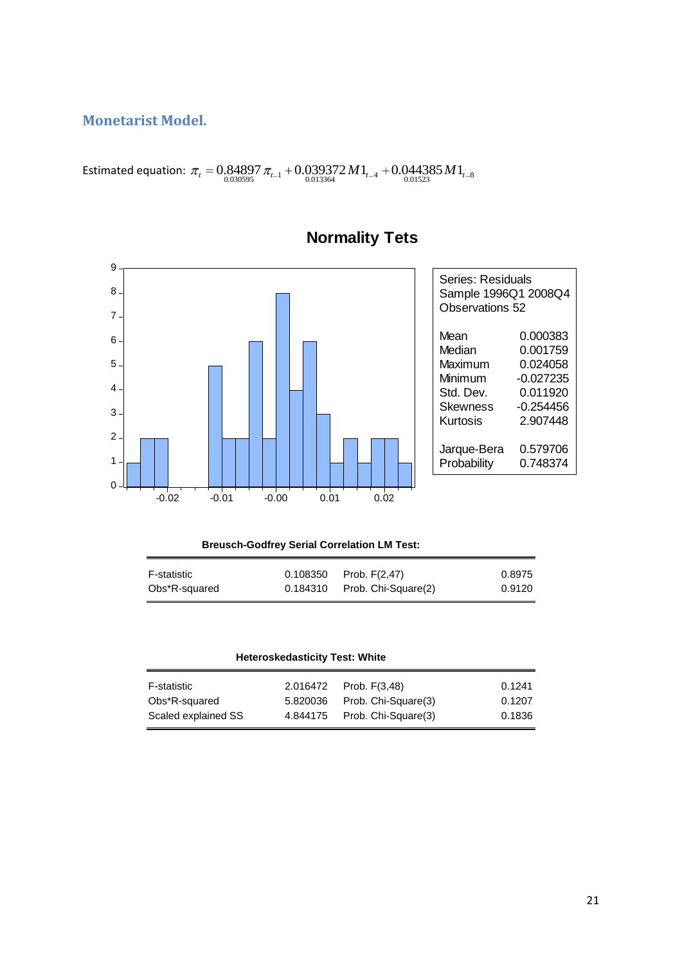## **Monetarist Model.**

Estimated equation:  $\tau_{t} = 0.84897 \, \pi_{t-1} + 0.039372 \, M \mathbb{1}_{t-4} + 0.044385 \, M \mathbb{1}_{t-8}$ <br> $\tau_{0.030595}$ 



# **Normality Tets**

#### **Breusch-Godfrey Serial Correlation LM Test:**

| F-statistic   | $0.108350$ Prob. $F(2,47)$     | 0.8975 |
|---------------|--------------------------------|--------|
| Obs*R-squared | $0.184310$ Prob. Chi-Square(2) | 0.9120 |

| Heteroskedasticity Test: White |  |  |
|--------------------------------|--|--|
|--------------------------------|--|--|

| F-statistic         | 2.016472 Prob. F(3,48)       | 0.1241 |
|---------------------|------------------------------|--------|
| Obs*R-squared       | 5.820036 Prob. Chi-Square(3) | 0.1207 |
| Scaled explained SS | 4.844175 Prob. Chi-Square(3) | 0.1836 |